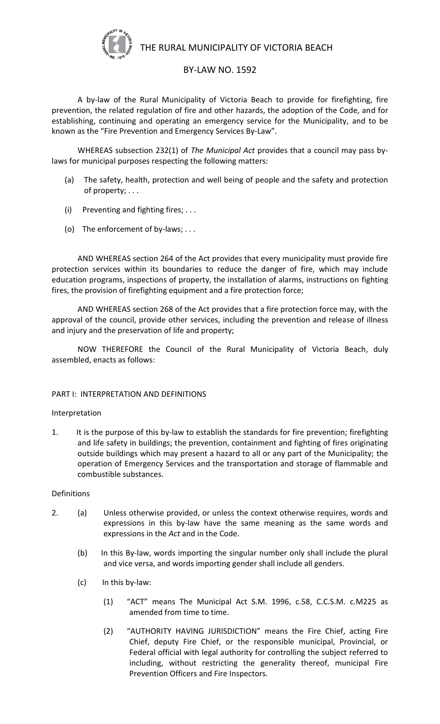

THE RURAL MUNICIPALITY OF VICTORIA BEACH

# BY-LAW NO. 1592

A by-law of the Rural Municipality of Victoria Beach to provide for firefighting, fire prevention, the related regulation of fire and other hazards, the adoption of the Code, and for establishing, continuing and operating an emergency service for the Municipality, and to be known as the "Fire Prevention and Emergency Services By-Law".

WHEREAS subsection 232(1) of *The Municipal Act* provides that a council may pass bylaws for municipal purposes respecting the following matters:

- (a) The safety, health, protection and well being of people and the safety and protection of property; . . .
- (i) Preventing and fighting fires;  $\dots$
- (o) The enforcement of by-laws; . . .

AND WHEREAS section 264 of the Act provides that every municipality must provide fire protection services within its boundaries to reduce the danger of fire, which may include education programs, inspections of property, the installation of alarms, instructions on fighting fires, the provision of firefighting equipment and a fire protection force;

AND WHEREAS section 268 of the Act provides that a fire protection force may, with the approval of the council, provide other services, including the prevention and release of illness and injury and the preservation of life and property;

NOW THEREFORE the Council of the Rural Municipality of Victoria Beach, duly assembled, enacts as follows:

### PART I: INTERPRETATION AND DEFINITIONS

### Interpretation

1. It is the purpose of this by-law to establish the standards for fire prevention; firefighting and life safety in buildings; the prevention, containment and fighting of fires originating outside buildings which may present a hazard to all or any part of the Municipality; the operation of Emergency Services and the transportation and storage of flammable and combustible substances.

### **Definitions**

- 2. (a) Unless otherwise provided, or unless the context otherwise requires, words and expressions in this by-law have the same meaning as the same words and expressions in the *Act* and in the Code.
	- (b) In this By-law, words importing the singular number only shall include the plural and vice versa, and words importing gender shall include all genders.
	- (c) In this by-law:
		- (1) "ACT" means The Municipal Act S.M. 1996, c.58, C.C.S.M. c.M225 as amended from time to time.
		- (2) "AUTHORITY HAVING JURISDICTION" means the Fire Chief, acting Fire Chief, deputy Fire Chief, or the responsible municipal, Provincial, or Federal official with legal authority for controlling the subject referred to including, without restricting the generality thereof, municipal Fire Prevention Officers and Fire Inspectors.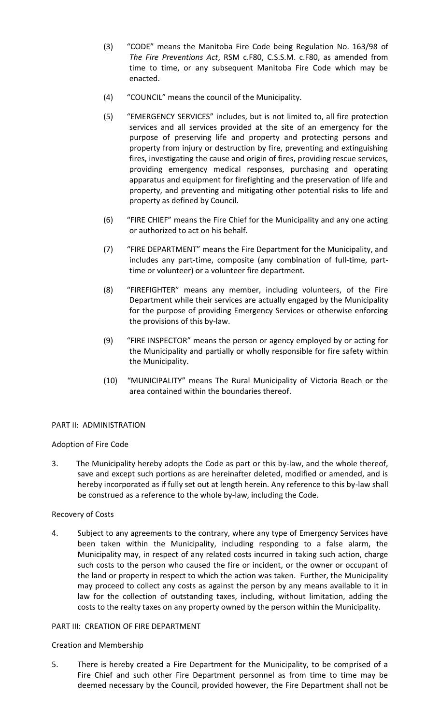- (3) "CODE" means the Manitoba Fire Code being Regulation No. 163/98 of *The Fire Preventions Act*, RSM c.F80, C.S.S.M. c.F80, as amended from time to time, or any subsequent Manitoba Fire Code which may be enacted.
- (4) "COUNCIL" means the council of the Municipality.
- (5) "EMERGENCY SERVICES" includes, but is not limited to, all fire protection services and all services provided at the site of an emergency for the purpose of preserving life and property and protecting persons and property from injury or destruction by fire, preventing and extinguishing fires, investigating the cause and origin of fires, providing rescue services, providing emergency medical responses, purchasing and operating apparatus and equipment for firefighting and the preservation of life and property, and preventing and mitigating other potential risks to life and property as defined by Council.
- (6) "FIRE CHIEF" means the Fire Chief for the Municipality and any one acting or authorized to act on his behalf.
- (7) "FIRE DEPARTMENT" means the Fire Department for the Municipality, and includes any part-time, composite (any combination of full-time, parttime or volunteer) or a volunteer fire department.
- (8) "FIREFIGHTER" means any member, including volunteers, of the Fire Department while their services are actually engaged by the Municipality for the purpose of providing Emergency Services or otherwise enforcing the provisions of this by-law.
- (9) "FIRE INSPECTOR" means the person or agency employed by or acting for the Municipality and partially or wholly responsible for fire safety within the Municipality.
- (10) "MUNICIPALITY" means The Rural Municipality of Victoria Beach or the area contained within the boundaries thereof.

### PART II: ADMINISTRATION

### Adoption of Fire Code

3. The Municipality hereby adopts the Code as part or this by-law, and the whole thereof, save and except such portions as are hereinafter deleted, modified or amended, and is hereby incorporated as if fully set out at length herein. Any reference to this by-law shall be construed as a reference to the whole by-law, including the Code.

### Recovery of Costs

4. Subject to any agreements to the contrary, where any type of Emergency Services have been taken within the Municipality, including responding to a false alarm, the Municipality may, in respect of any related costs incurred in taking such action, charge such costs to the person who caused the fire or incident, or the owner or occupant of the land or property in respect to which the action was taken. Further, the Municipality may proceed to collect any costs as against the person by any means available to it in law for the collection of outstanding taxes, including, without limitation, adding the costs to the realty taxes on any property owned by the person within the Municipality.

### PART III: CREATION OF FIRE DEPARTMENT

### Creation and Membership

5. There is hereby created a Fire Department for the Municipality, to be comprised of a Fire Chief and such other Fire Department personnel as from time to time may be deemed necessary by the Council, provided however, the Fire Department shall not be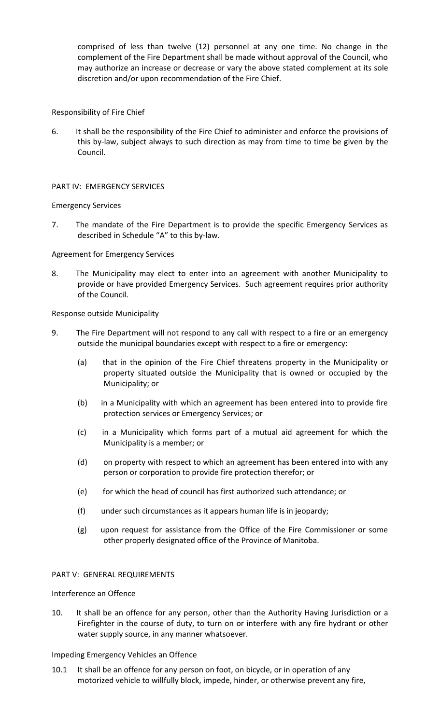comprised of less than twelve (12) personnel at any one time. No change in the complement of the Fire Department shall be made without approval of the Council, who may authorize an increase or decrease or vary the above stated complement at its sole discretion and/or upon recommendation of the Fire Chief.

### Responsibility of Fire Chief

6. It shall be the responsibility of the Fire Chief to administer and enforce the provisions of this by-law, subject always to such direction as may from time to time be given by the Council.

# PART IV: EMERGENCY SERVICES

# Emergency Services

7. The mandate of the Fire Department is to provide the specific Emergency Services as described in Schedule "A" to this by-law.

### Agreement for Emergency Services

8. The Municipality may elect to enter into an agreement with another Municipality to provide or have provided Emergency Services. Such agreement requires prior authority of the Council.

Response outside Municipality

- 9. The Fire Department will not respond to any call with respect to a fire or an emergency outside the municipal boundaries except with respect to a fire or emergency:
	- (a) that in the opinion of the Fire Chief threatens property in the Municipality or property situated outside the Municipality that is owned or occupied by the Municipality; or
	- (b) in a Municipality with which an agreement has been entered into to provide fire protection services or Emergency Services; or
	- (c) in a Municipality which forms part of a mutual aid agreement for which the Municipality is a member; or
	- (d) on property with respect to which an agreement has been entered into with any person or corporation to provide fire protection therefor; or
	- (e) for which the head of council has first authorized such attendance; or
	- (f) under such circumstances as it appears human life is in jeopardy;
	- (g) upon request for assistance from the Office of the Fire Commissioner or some other properly designated office of the Province of Manitoba.

# PART V: GENERAL REQUIREMENTS

### Interference an Offence

10. It shall be an offence for any person, other than the Authority Having Jurisdiction or a Firefighter in the course of duty, to turn on or interfere with any fire hydrant or other water supply source, in any manner whatsoever.

### Impeding Emergency Vehicles an Offence

10.1 It shall be an offence for any person on foot, on bicycle, or in operation of any motorized vehicle to willfully block, impede, hinder, or otherwise prevent any fire,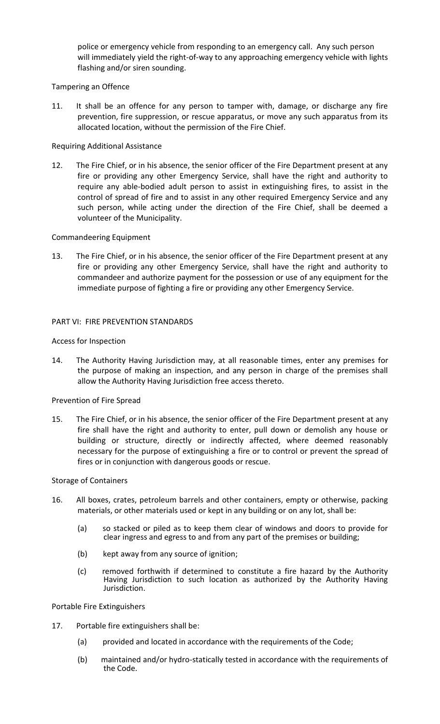police or emergency vehicle from responding to an emergency call. Any such person will immediately yield the right-of-way to any approaching emergency vehicle with lights flashing and/or siren sounding.

### Tampering an Offence

11. It shall be an offence for any person to tamper with, damage, or discharge any fire prevention, fire suppression, or rescue apparatus, or move any such apparatus from its allocated location, without the permission of the Fire Chief.

### Requiring Additional Assistance

12. The Fire Chief, or in his absence, the senior officer of the Fire Department present at any fire or providing any other Emergency Service, shall have the right and authority to require any able-bodied adult person to assist in extinguishing fires, to assist in the control of spread of fire and to assist in any other required Emergency Service and any such person, while acting under the direction of the Fire Chief, shall be deemed a volunteer of the Municipality.

### Commandeering Equipment

13. The Fire Chief, or in his absence, the senior officer of the Fire Department present at any fire or providing any other Emergency Service, shall have the right and authority to commandeer and authorize payment for the possession or use of any equipment for the immediate purpose of fighting a fire or providing any other Emergency Service.

### PART VI: FIRE PREVENTION STANDARDS

### Access for Inspection

14. The Authority Having Jurisdiction may, at all reasonable times, enter any premises for the purpose of making an inspection, and any person in charge of the premises shall allow the Authority Having Jurisdiction free access thereto.

### Prevention of Fire Spread

15. The Fire Chief, or in his absence, the senior officer of the Fire Department present at any fire shall have the right and authority to enter, pull down or demolish any house or building or structure, directly or indirectly affected, where deemed reasonably necessary for the purpose of extinguishing a fire or to control or prevent the spread of fires or in conjunction with dangerous goods or rescue.

# Storage of Containers

- 16. All boxes, crates, petroleum barrels and other containers, empty or otherwise, packing materials, or other materials used or kept in any building or on any lot, shall be:
	- (a) so stacked or piled as to keep them clear of windows and doors to provide for clear ingress and egress to and from any part of the premises or building;
	- (b) kept away from any source of ignition;
	- (c) removed forthwith if determined to constitute a fire hazard by the Authority Having Jurisdiction to such location as authorized by the Authority Having Jurisdiction.

Portable Fire Extinguishers

- 17. Portable fire extinguishers shall be:
	- (a) provided and located in accordance with the requirements of the Code;
	- (b) maintained and/or hydro-statically tested in accordance with the requirements of the Code.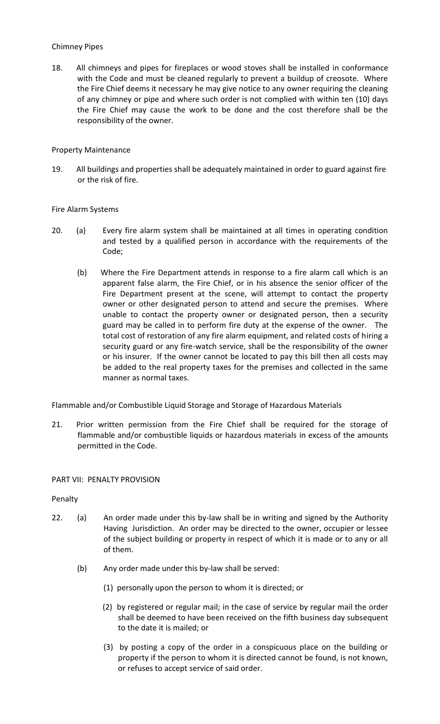### Chimney Pipes

18. All chimneys and pipes for fireplaces or wood stoves shall be installed in conformance with the Code and must be cleaned regularly to prevent a buildup of creosote. Where the Fire Chief deems it necessary he may give notice to any owner requiring the cleaning of any chimney or pipe and where such order is not complied with within ten (10) days the Fire Chief may cause the work to be done and the cost therefore shall be the responsibility of the owner.

### Property Maintenance

19. All buildings and properties shall be adequately maintained in order to guard against fire or the risk of fire.

# Fire Alarm Systems

- 20. (a) Every fire alarm system shall be maintained at all times in operating condition and tested by a qualified person in accordance with the requirements of the Code;
	- (b) Where the Fire Department attends in response to a fire alarm call which is an apparent false alarm, the Fire Chief, or in his absence the senior officer of the Fire Department present at the scene, will attempt to contact the property owner or other designated person to attend and secure the premises. Where unable to contact the property owner or designated person, then a security guard may be called in to perform fire duty at the expense of the owner. The total cost of restoration of any fire alarm equipment, and related costs of hiring a security guard or any fire-watch service, shall be the responsibility of the owner or his insurer. If the owner cannot be located to pay this bill then all costs may be added to the real property taxes for the premises and collected in the same manner as normal taxes.

Flammable and/or Combustible Liquid Storage and Storage of Hazardous Materials

21. Prior written permission from the Fire Chief shall be required for the storage of flammable and/or combustible liquids or hazardous materials in excess of the amounts permitted in the Code.

### PART VII: PENALTY PROVISION

### Penalty

- 22. (a) An order made under this by-law shall be in writing and signed by the Authority Having Jurisdiction. An order may be directed to the owner, occupier or lessee of the subject building or property in respect of which it is made or to any or all of them.
	- (b) Any order made under this by-law shall be served:
		- (1) personally upon the person to whom it is directed; or
		- (2) by registered or regular mail; in the case of service by regular mail the order shall be deemed to have been received on the fifth business day subsequent to the date it is mailed; or
		- (3) by posting a copy of the order in a conspicuous place on the building or property if the person to whom it is directed cannot be found, is not known, or refuses to accept service of said order.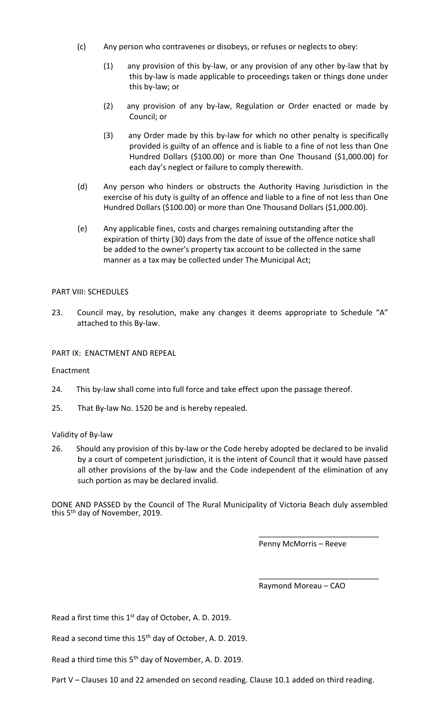- (c) Any person who contravenes or disobeys, or refuses or neglects to obey:
	- (1) any provision of this by-law, or any provision of any other by-law that by this by-law is made applicable to proceedings taken or things done under this by-law; or
	- (2) any provision of any by-law, Regulation or Order enacted or made by Council; or
	- (3) any Order made by this by-law for which no other penalty is specifically provided is guilty of an offence and is liable to a fine of not less than One Hundred Dollars (\$100.00) or more than One Thousand (\$1,000.00) for each day's neglect or failure to comply therewith.
- (d) Any person who hinders or obstructs the Authority Having Jurisdiction in the exercise of his duty is guilty of an offence and liable to a fine of not less than One Hundred Dollars (\$100.00) or more than One Thousand Dollars (\$1,000.00).
- (e) Any applicable fines, costs and charges remaining outstanding after the expiration of thirty (30) days from the date of issue of the offence notice shall be added to the owner's property tax account to be collected in the same manner as a tax may be collected under The Municipal Act;

### PART VIII: SCHEDULES

23. Council may, by resolution, make any changes it deems appropriate to Schedule "A" attached to this By-law.

### PART IX: ENACTMENT AND REPEAL

Enactment

- 24. This by-law shall come into full force and take effect upon the passage thereof.
- 25. That By-law No. 1520 be and is hereby repealed.

### Validity of By-law

26. Should any provision of this by-law or the Code hereby adopted be declared to be invalid by a court of competent jurisdiction, it is the intent of Council that it would have passed all other provisions of the by-law and the Code independent of the elimination of any such portion as may be declared invalid.

DONE AND PASSED by the Council of The Rural Municipality of Victoria Beach duly assembled this 5<sup>th</sup> day of November, 2019.

Penny McMorris – Reeve

\_\_\_\_\_\_\_\_\_\_\_\_\_\_\_\_\_\_\_\_\_\_\_\_\_\_\_\_

\_\_\_\_\_\_\_\_\_\_\_\_\_\_\_\_\_\_\_\_\_\_\_\_\_\_\_\_

Raymond Moreau – CAO

Read a first time this 1<sup>st</sup> day of October, A. D. 2019.

Read a second time this 15<sup>th</sup> day of October, A. D. 2019.

Read a third time this 5<sup>th</sup> day of November, A. D. 2019.

Part V – Clauses 10 and 22 amended on second reading. Clause 10.1 added on third reading.